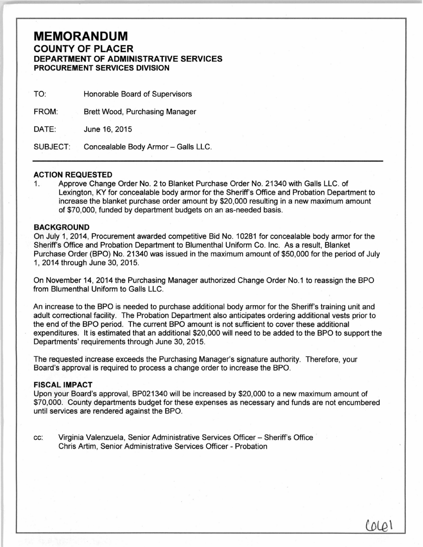## **MEMORANDUM COUNTY OF PLACER DEPARTMENT OF ADMINISTRATIVE SERVICES PROCUREMENT SERVICES DIVISION**

| TO:             | Honorable Board of Supervisors      |
|-----------------|-------------------------------------|
| FROM:           | Brett Wood, Purchasing Manager      |
| DATE:           | June 16, 2015                       |
| <b>SUBJECT:</b> | Concealable Body Armor - Galls LLC. |

## **ACTION REQUESTED**

1. Approve Change Order No. 2 to Blanket Purchase Order No. 21340 with Galls LLC. of Lexington, KY for concealable body armor for the Sheriff's Office and Probation Department to increase the blanket purchase order amount by \$20,000 resulting in a new maximum amount of \$70,000, funded by department budgets on an as-needed basis.

## **BACKGROUND**

On July 1, 2014, Procurement awarded competitive Bid No. 10281 for concealable body armor for the Sheriff's Office and Probation Department to Blumenthal Uniform Co. Inc. As a result, Blanket Purchase Order (BPO) No. 21340 was issued in the maximum amount of \$50,000 for the period of July 1, 2014 through June 30, 2015.

On November 14, 2014 the Purchasing Manager authorized Change Order No.1 to reassign the BPO from Blumenthal Uniform to Galls LLC.

An increase to the BPO is needed to purchase additional body armor for the Sheriff's training unit and adult correctional facility. The Probation Department also anticipates ordering additional vests prior to the end of the BPO period. The current BPO amount is not sufficient to cover these additional expenditures. It is estimated that an additional \$20,000 will need to be added to the BPO to support the Departments' requirements through June 30, 2015.

The requested increase exceeds the Purchasing Manager's signature authority. Therefore, your Board's approval is required to process a change order to increase the BPO.

## **FISCAL IMPACT**

Upon your Board's approval, BP021340 will be increased by \$20,000 to a new maximum amount of \$70,000. County departments budget for these expenses as necessary and funds are not encumbered until services are rendered against the BPO.

 $(010)$ 

cc: Virginia Valenzuela, Senior Administrative Services Officer- Sheriff's Office Chris Artim, Senior Administrative Services Officer- Probation